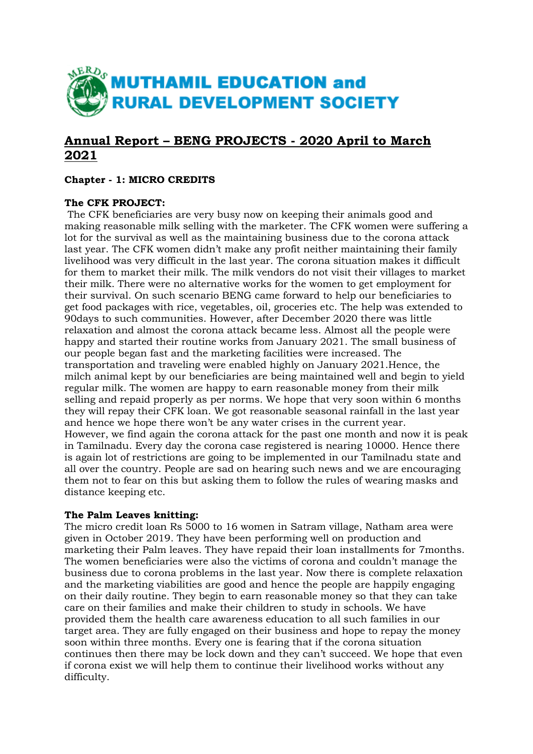

# **Annual Report – BENG PROJECTS - 2020 April to March 2021**

## **Chapter - 1: MICRO CREDITS**

## **The CFK PROJECT:**

The CFK beneficiaries are very busy now on keeping their animals good and making reasonable milk selling with the marketer. The CFK women were suffering a lot for the survival as well as the maintaining business due to the corona attack last year. The CFK women didn't make any profit neither maintaining their family livelihood was very difficult in the last year. The corona situation makes it difficult for them to market their milk. The milk vendors do not visit their villages to market their milk. There were no alternative works for the women to get employment for their survival. On such scenario BENG came forward to help our beneficiaries to get food packages with rice, vegetables, oil, groceries etc. The help was extended to 90days to such communities. However, after December 2020 there was little relaxation and almost the corona attack became less. Almost all the people were happy and started their routine works from January 2021. The small business of our people began fast and the marketing facilities were increased. The transportation and traveling were enabled highly on January 2021.Hence, the milch animal kept by our beneficiaries are being maintained well and begin to yield regular milk. The women are happy to earn reasonable money from their milk selling and repaid properly as per norms. We hope that very soon within 6 months they will repay their CFK loan. We got reasonable seasonal rainfall in the last year and hence we hope there won't be any water crises in the current year. However, we find again the corona attack for the past one month and now it is peak in Tamilnadu. Every day the corona case registered is nearing 10000. Hence there is again lot of restrictions are going to be implemented in our Tamilnadu state and all over the country. People are sad on hearing such news and we are encouraging them not to fear on this but asking them to follow the rules of wearing masks and distance keeping etc.

## **The Palm Leaves knitting:**

The micro credit loan Rs 5000 to 16 women in Satram village, Natham area were given in October 2019. They have been performing well on production and marketing their Palm leaves. They have repaid their loan installments for 7months. The women beneficiaries were also the victims of corona and couldn't manage the business due to corona problems in the last year. Now there is complete relaxation and the marketing viabilities are good and hence the people are happily engaging on their daily routine. They begin to earn reasonable money so that they can take care on their families and make their children to study in schools. We have provided them the health care awareness education to all such families in our target area. They are fully engaged on their business and hope to repay the money soon within three months. Every one is fearing that if the corona situation continues then there may be lock down and they can't succeed. We hope that even if corona exist we will help them to continue their livelihood works without any difficulty.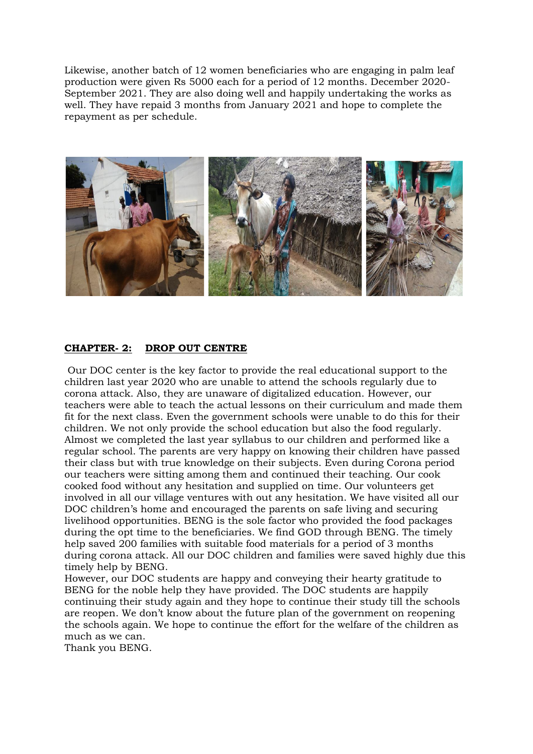Likewise, another batch of 12 women beneficiaries who are engaging in palm leaf production were given Rs 5000 each for a period of 12 months. December 2020- September 2021. They are also doing well and happily undertaking the works as well. They have repaid 3 months from January 2021 and hope to complete the repayment as per schedule.



#### **CHAPTER- 2: DROP OUT CENTRE**

Our DOC center is the key factor to provide the real educational support to the children last year 2020 who are unable to attend the schools regularly due to corona attack. Also, they are unaware of digitalized education. However, our teachers were able to teach the actual lessons on their curriculum and made them fit for the next class. Even the government schools were unable to do this for their children. We not only provide the school education but also the food regularly. Almost we completed the last year syllabus to our children and performed like a regular school. The parents are very happy on knowing their children have passed their class but with true knowledge on their subjects. Even during Corona period our teachers were sitting among them and continued their teaching. Our cook cooked food without any hesitation and supplied on time. Our volunteers get involved in all our village ventures with out any hesitation. We have visited all our DOC children's home and encouraged the parents on safe living and securing livelihood opportunities. BENG is the sole factor who provided the food packages during the opt time to the beneficiaries. We find GOD through BENG. The timely help saved 200 families with suitable food materials for a period of 3 months during corona attack. All our DOC children and families were saved highly due this timely help by BENG.

However, our DOC students are happy and conveying their hearty gratitude to BENG for the noble help they have provided. The DOC students are happily continuing their study again and they hope to continue their study till the schools are reopen. We don't know about the future plan of the government on reopening the schools again. We hope to continue the effort for the welfare of the children as much as we can.

Thank you BENG.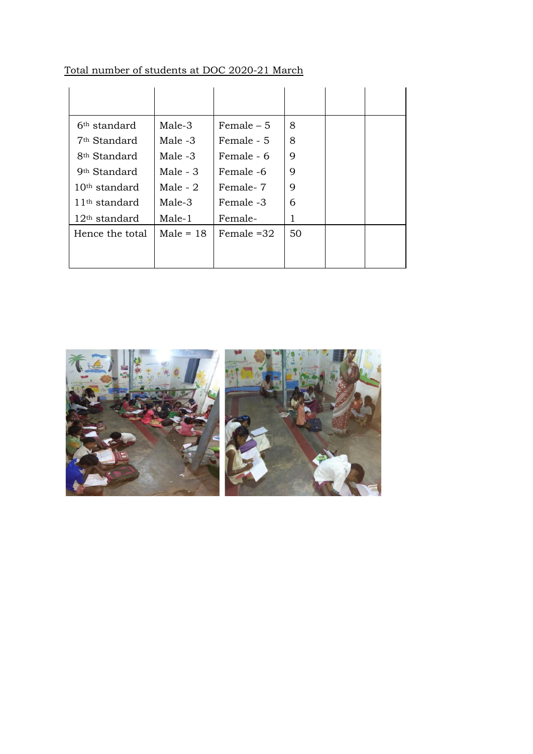| 6 <sup>th</sup> standard | Male-3      | Female $-5$  | 8  |  |
|--------------------------|-------------|--------------|----|--|
| 7 <sup>th</sup> Standard | Male -3     | Female - 5   | 8  |  |
| 8 <sup>th</sup> Standard | Male -3     | Female - 6   | 9  |  |
| 9 <sup>th</sup> Standard | Male $-3$   | Female -6    | 9  |  |
| $10th$ standard          | Male - $2$  | Female-7     | 9  |  |
| $11th$ standard          | Male-3      | Female -3    | 6  |  |
| $12th$ standard          | Male-1      | Female-      | 1  |  |
| Hence the total          | Male $= 18$ | Female $=32$ | 50 |  |
|                          |             |              |    |  |
|                          |             |              |    |  |

# Total number of students at DOC 2020-21 March

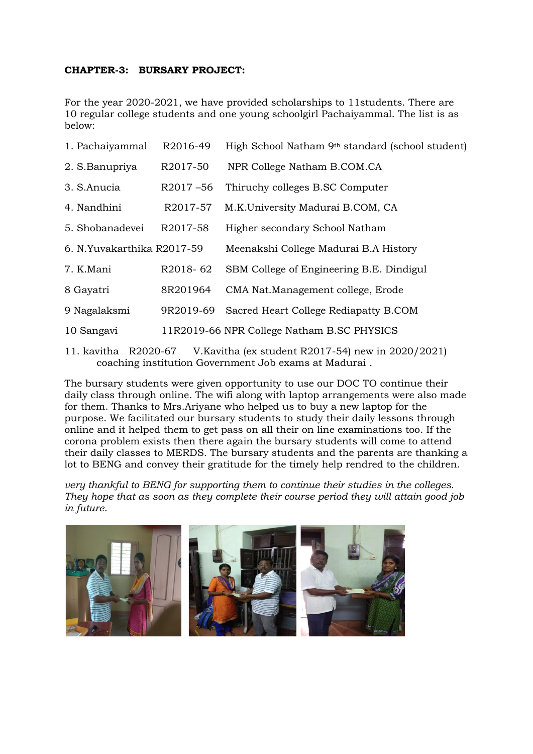### **CHAPTER-3: BURSARY PROJECT:**

For the year 2020-2021, we have provided scholarships to 11students. There are 10 regular college students and one young schoolgirl Pachaiyammal. The list is as below:

| 1. Pachaiyammal            | R2016-49              | High School Natham 9th standard (school student) |  |  |  |
|----------------------------|-----------------------|--------------------------------------------------|--|--|--|
| 2. S.Banupriya             | R <sub>2017</sub> -50 | NPR College Natham B.COM.CA                      |  |  |  |
| 3. S.Anucia                | $R2017 - 56$          | Thiruchy colleges B.SC Computer                  |  |  |  |
| 4. Nandhini                | R2017-57              | M.K.University Madurai B.COM, CA                 |  |  |  |
| 5. Shobanadevei            | R2017-58              | Higher secondary School Natham                   |  |  |  |
| 6. N.Yuvakarthika R2017-59 |                       | Meenakshi College Madurai B.A History            |  |  |  |
| 7. K.Mani                  | R2018-62              | SBM College of Engineering B.E. Dindigul         |  |  |  |
| 8 Gayatri                  | 8R201964              | CMA Nat.Management college, Erode                |  |  |  |
| 9 Nagalaksmi               | 9R2019-69             | Sacred Heart College Rediapatty B.COM            |  |  |  |
| 10 Sangavi                 |                       | 11R2019-66 NPR College Natham B.SC PHYSICS       |  |  |  |
|                            |                       |                                                  |  |  |  |

11. kavitha R2020-67 V.Kavitha (ex student R2017-54) new in 2020/2021) coaching institution Government Job exams at Madurai .

The bursary students were given opportunity to use our DOC TO continue their daily class through online. The wifi along with laptop arrangements were also made for them. Thanks to Mrs.Ariyane who helped us to buy a new laptop for the purpose. We facilitated our bursary students to study their daily lessons through online and it helped them to get pass on all their on line examinations too. If the corona problem exists then there again the bursary students will come to attend their daily classes to MERDS. The bursary students and the parents are thanking a lot to BENG and convey their gratitude for the timely help rendred to the children.

*very thankful to BENG for supporting them to continue their studies in the colleges. They hope that as soon as they complete their course period they will attain good job in future*.